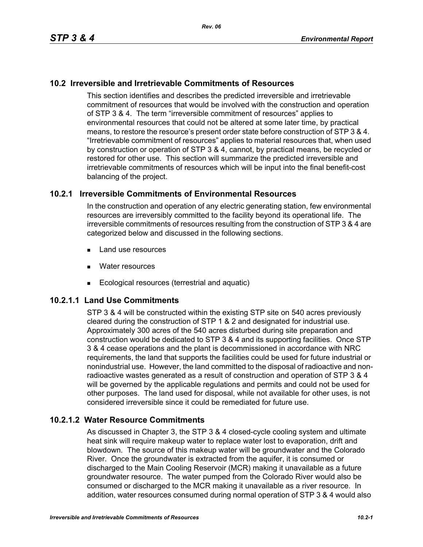## **10.2 Irreversible and Irretrievable Commitments of Resources**

This section identifies and describes the predicted irreversible and irretrievable commitment of resources that would be involved with the construction and operation of STP 3 & 4. The term "irreversible commitment of resources" applies to environmental resources that could not be altered at some later time, by practical means, to restore the resource's present order state before construction of STP 3 & 4. "Irretrievable commitment of resources" applies to material resources that, when used by construction or operation of STP 3 & 4, cannot, by practical means, be recycled or restored for other use. This section will summarize the predicted irreversible and irretrievable commitments of resources which will be input into the final benefit-cost balancing of the project.

## **10.2.1 Irreversible Commitments of Environmental Resources**

In the construction and operation of any electric generating station, few environmental resources are irreversibly committed to the facility beyond its operational life. The irreversible commitments of resources resulting from the construction of STP 3 & 4 are categorized below and discussed in the following sections.

- **Land use resources**
- **Nater resources**
- Ecological resources (terrestrial and aquatic)

## **10.2.1.1 Land Use Commitments**

STP 3 & 4 will be constructed within the existing STP site on 540 acres previously cleared during the construction of STP 1 & 2 and designated for industrial use. Approximately 300 acres of the 540 acres disturbed during site preparation and construction would be dedicated to STP 3 & 4 and its supporting facilities. Once STP 3 & 4 cease operations and the plant is decommissioned in accordance with NRC requirements, the land that supports the facilities could be used for future industrial or nonindustrial use. However, the land committed to the disposal of radioactive and nonradioactive wastes generated as a result of construction and operation of STP 3 & 4 will be governed by the applicable regulations and permits and could not be used for other purposes. The land used for disposal, while not available for other uses, is not considered irreversible since it could be remediated for future use.

#### **10.2.1.2 Water Resource Commitments**

As discussed in Chapter 3, the STP 3 & 4 closed-cycle cooling system and ultimate heat sink will require makeup water to replace water lost to evaporation, drift and blowdown. The source of this makeup water will be groundwater and the Colorado River. Once the groundwater is extracted from the aquifer, it is consumed or discharged to the Main Cooling Reservoir (MCR) making it unavailable as a future groundwater resource. The water pumped from the Colorado River would also be consumed or discharged to the MCR making it unavailable as a river resource. In addition, water resources consumed during normal operation of STP 3 & 4 would also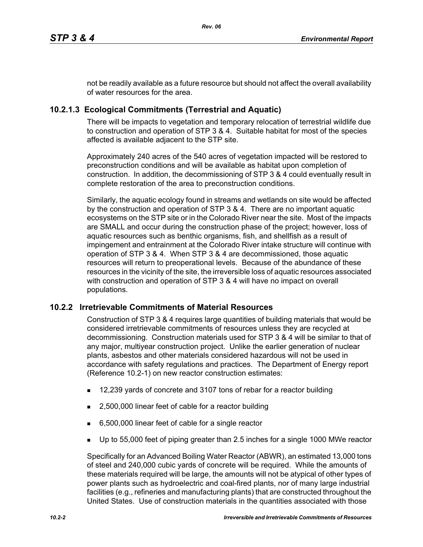not be readily available as a future resource but should not affect the overall availability of water resources for the area.

# **10.2.1.3 Ecological Commitments (Terrestrial and Aquatic)**

There will be impacts to vegetation and temporary relocation of terrestrial wildlife due to construction and operation of STP 3 & 4. Suitable habitat for most of the species affected is available adjacent to the STP site.

Approximately 240 acres of the 540 acres of vegetation impacted will be restored to preconstruction conditions and will be available as habitat upon completion of construction. In addition, the decommissioning of STP 3 & 4 could eventually result in complete restoration of the area to preconstruction conditions.

Similarly, the aquatic ecology found in streams and wetlands on site would be affected by the construction and operation of STP 3 & 4. There are no important aquatic ecosystems on the STP site or in the Colorado River near the site. Most of the impacts are SMALL and occur during the construction phase of the project; however, loss of aquatic resources such as benthic organisms, fish, and shellfish as a result of impingement and entrainment at the Colorado River intake structure will continue with operation of STP 3 & 4. When STP 3 & 4 are decommissioned, those aquatic resources will return to preoperational levels. Because of the abundance of these resources in the vicinity of the site, the irreversible loss of aquatic resources associated with construction and operation of STP 3 & 4 will have no impact on overall populations.

## **10.2.2 Irretrievable Commitments of Material Resources**

Construction of STP 3 & 4 requires large quantities of building materials that would be considered irretrievable commitments of resources unless they are recycled at decommissioning. Construction materials used for STP 3 & 4 will be similar to that of any major, multiyear construction project. Unlike the earlier generation of nuclear plants, asbestos and other materials considered hazardous will not be used in accordance with safety regulations and practices. The Department of Energy report (Reference 10.2-1) on new reactor construction estimates:

- 12,239 yards of concrete and 3107 tons of rebar for a reactor building
- 2,500,000 linear feet of cable for a reactor building
- 6,500,000 linear feet of cable for a single reactor
- Up to 55,000 feet of piping greater than 2.5 inches for a single 1000 MWe reactor

Specifically for an Advanced Boiling Water Reactor (ABWR), an estimated 13,000 tons of steel and 240,000 cubic yards of concrete will be required. While the amounts of these materials required will be large, the amounts will not be atypical of other types of power plants such as hydroelectric and coal-fired plants, nor of many large industrial facilities (e.g., refineries and manufacturing plants) that are constructed throughout the United States. Use of construction materials in the quantities associated with those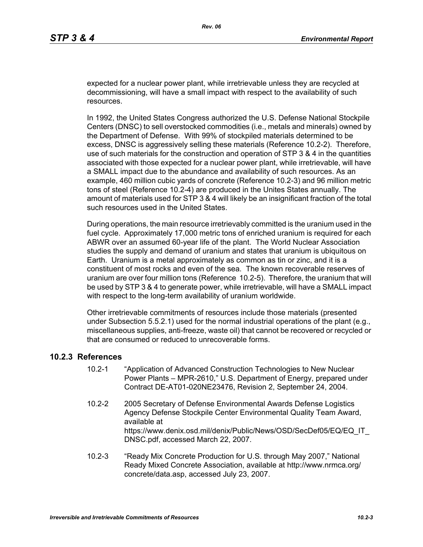expected for a nuclear power plant, while irretrievable unless they are recycled at decommissioning, will have a small impact with respect to the availability of such resources.

In 1992, the United States Congress authorized the U.S. Defense National Stockpile Centers (DNSC) to sell overstocked commodities (i.e., metals and minerals) owned by the Department of Defense. With 99% of stockpiled materials determined to be excess, DNSC is aggressively selling these materials (Reference 10.2-2). Therefore, use of such materials for the construction and operation of STP 3 & 4 in the quantities associated with those expected for a nuclear power plant, while irretrievable, will have a SMALL impact due to the abundance and availability of such resources. As an example, 460 million cubic yards of concrete (Reference 10.2-3) and 96 million metric tons of steel (Reference 10.2-4) are produced in the Unites States annually. The amount of materials used for STP 3 & 4 will likely be an insignificant fraction of the total such resources used in the United States.

During operations, the main resource irretrievably committed is the uranium used in the fuel cycle. Approximately 17,000 metric tons of enriched uranium is required for each ABWR over an assumed 60-year life of the plant. The World Nuclear Association studies the supply and demand of uranium and states that uranium is ubiquitous on Earth. Uranium is a metal approximately as common as tin or zinc, and it is a constituent of most rocks and even of the sea. The known recoverable reserves of uranium are over four million tons (Reference 10.2-5). Therefore, the uranium that will be used by STP 3 & 4 to generate power, while irretrievable, will have a SMALL impact with respect to the long-term availability of uranium worldwide.

Other irretrievable commitments of resources include those materials (presented under Subsection 5.5.2.1) used for the normal industrial operations of the plant (e.g., miscellaneous supplies, anti-freeze, waste oil) that cannot be recovered or recycled or that are consumed or reduced to unrecoverable forms.

#### **10.2.3 References**

- 10.2-1 "Application of Advanced Construction Technologies to New Nuclear Power Plants – MPR-2610," U.S. Department of Energy, prepared under Contract DE-AT01-020NE23476, Revision 2, September 24, 2004.
- 10.2-2 2005 Secretary of Defense Environmental Awards Defense Logistics Agency Defense Stockpile Center Environmental Quality Team Award, available at https://www.denix.osd.mil/denix/Public/News/OSD/SecDef05/EQ/EQ\_IT DNSC.pdf, accessed March 22, 2007.
- 10.2-3 "Ready Mix Concrete Production for U.S. through May 2007," National Ready Mixed Concrete Association, available at http://www.nrmca.org/ concrete/data.asp, accessed July 23, 2007.